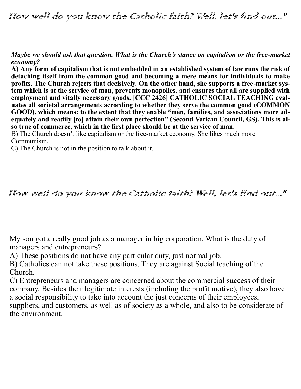How well do you know the Catholic faith? Well, let's find out..."

*Maybe we should ask that question. What is the Church's stance on capitalism or the free-market economy?*

**A) Any form of capitalism that is not embedded in an established system of law runs the risk of detaching itself from the common good and becoming a mere means for individuals to make profits. The Church rejects that decisively. On the other hand, she supports a free-market system which is at the service of man, prevents monopolies, and ensures that all are supplied with employment and vitally necessary goods. [CCC 2426] CATHOLIC SOCIAL TEACHING evaluates all societal arrangements according to whether they serve the common good (COMMON GOOD), which means: to the extent that they enable "men, families, and associations more adequately and readily [to] attain their own perfection" (Second Vatican Council, GS). This is also true of commerce, which in the first place should be at the service of man.**

B) The Church doesn't like capitalism or the free-market economy. She likes much more Communism.

C) The Church is not in the position to talk about it.

How well do you know the Catholic faith? Well, let's find out..."

My son got a really good job as a manager in big corporation. What is the duty of managers and entrepreneurs?

A) These positions do not have any particular duty, just normal job.

B) Catholics can not take these positions. They are against Social teaching of the Church.

C) Entrepreneurs and managers are concerned about the commercial success of their company. Besides their legitimate interests (including the profit motive), they also have a social responsibility to take into account the just concerns of their employees, suppliers, and customers, as well as of society as a whole, and also to be considerate of the environment.